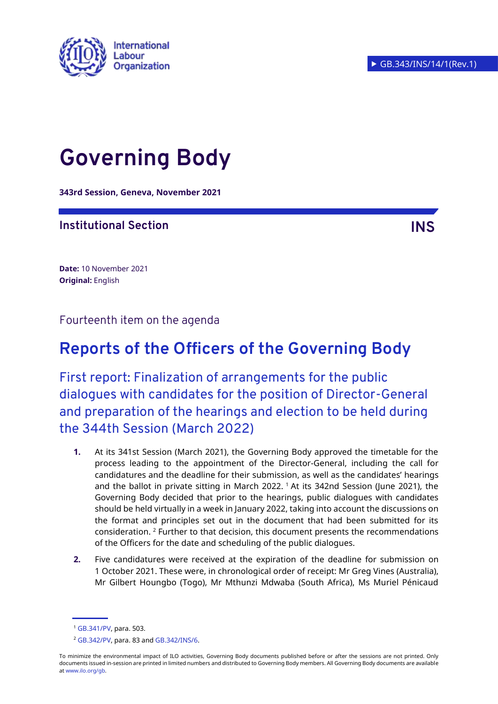

# **Governing Body**

**343rd Session, Geneva, November 2021**

## **Institutional Section INS**

**Date:** 10 November 2021 **Original:** English

Fourteenth item on the agenda

# **Reports of the Officers of the Governing Body**

First report: Finalization of arrangements for the public dialogues with candidates for the position of Director-General and preparation of the hearings and election to be held during the 344th Session (March 2022)

- **1.** At its 341st Session (March 2021), the Governing Body approved the timetable for the process leading to the appointment of the Director-General, including the call for candidatures and the deadline for their submission, as well as the candidates' hearings and the ballot in private sitting in March 2022. <sup>1</sup> At its 342nd Session (June 2021), the Governing Body decided that prior to the hearings, public dialogues with candidates should be held virtually in a week in January 2022, taking into account the discussions on the format and principles set out in the document that had been submitted for its consideration. <sup>2</sup> Further to that decision, this document presents the recommendations of the Officers for the date and scheduling of the public dialogues.
- **2.** Five candidatures were received at the expiration of the deadline for submission on 1 October 2021. These were, in chronological order of receipt: Mr Greg Vines (Australia), Mr Gilbert Houngbo (Togo), Mr Mthunzi Mdwaba (South Africa), Ms Muriel Pénicaud

<sup>1</sup> [GB.341/PV,](https://www.ilo.org/wcmsp5/groups/public/---ed_norm/---relconf/documents/meetingdocument/wcms_812283.pdf) para. 503.

<sup>2</sup> [GB.342/PV,](https://www.ilo.org/wcmsp5/groups/public/---ed_norm/---relconf/documents/meetingdocument/wcms_815075.pdf) para. 83 an[d GB.342/INS/6.](https://www.ilo.org/wcmsp5/groups/public/---ed_norm/---relconf/documents/meetingdocument/wcms_799689.pdf)

To minimize the environmental impact of ILO activities, Governing Body documents published before or after the sessions are not printed. Only documents issued in-session are printed in limited numbers and distributed to Governing Body members. All Governing Body documents are available a[t www.ilo.org/gb.](http://www.ilo.org/gb)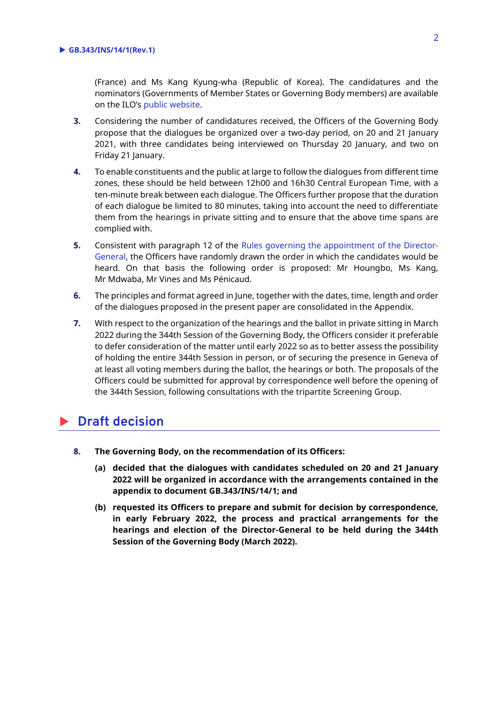(France) and Ms Kang Kyung-wha (Republic of Korea). The candidatures and the nominators (Governments of Member States or Governing Body members) are available on the ILO's [public website.](https://www.ilo.org/gb/about-governing-body/appointment-of-director-general/lang--en/index.htm)

- **3.** Considering the number of candidatures received, the Officers of the Governing Body propose that the dialogues be organized over a two-day period, on 20 and 21 January 2021, with three candidates being interviewed on Thursday 20 January, and two on Friday 21 January.
- **4.** To enable constituents and the public at large to follow the dialogues from different time zones, these should be held between 12h00 and 16h30 Central European Time, with a ten-minute break between each dialogue. The Officers further propose that the duration of each dialogue be limited to 80 minutes, taking into account the need to differentiate them from the hearings in private sitting and to ensure that the above time spans are complied with.
- **5.** Consistent with paragraph 12 of the [Rules governing the appointment of the Director-](https://www.ilo.org/gb/about-governing-body/appointment-of-director-general/WCMS_470745/lang--en/index.htm)[General,](https://www.ilo.org/gb/about-governing-body/appointment-of-director-general/WCMS_470745/lang--en/index.htm) the Officers have randomly drawn the order in which the candidates would be heard. On that basis the following order is proposed: Mr Houngbo, Ms Kang, Mr Mdwaba, Mr Vines and Ms Pénicaud.
- **6.** The principles and format agreed in June, together with the dates, time, length and order of the dialogues proposed in the present paper are consolidated in the Appendix.
- **7.** With respect to the organization of the hearings and the ballot in private sitting in March 2022 during the 344th Session of the Governing Body, the Officers consider it preferable to defer consideration of the matter until early 2022 so as to better assess the possibility of holding the entire 344th Session in person, or of securing the presence in Geneva of at least all voting members during the ballot, the hearings or both. The proposals of the Officers could be submitted for approval by correspondence well before the opening of the 344th Session, following consultations with the tripartite Screening Group.

# **Draft decision**

- **8. The Governing Body, on the recommendation of its Officers:**
	- **(a) decided that the dialogues with candidates scheduled on 20 and 21 January 2022 will be organized in accordance with the arrangements contained in the appendix to document GB.343/INS/14/1; and**
	- **(b) requested its Officers to prepare and submit for decision by correspondence, in early February 2022, the process and practical arrangements for the hearings and election of the Director-General to be held during the 344th Session of the Governing Body (March 2022).**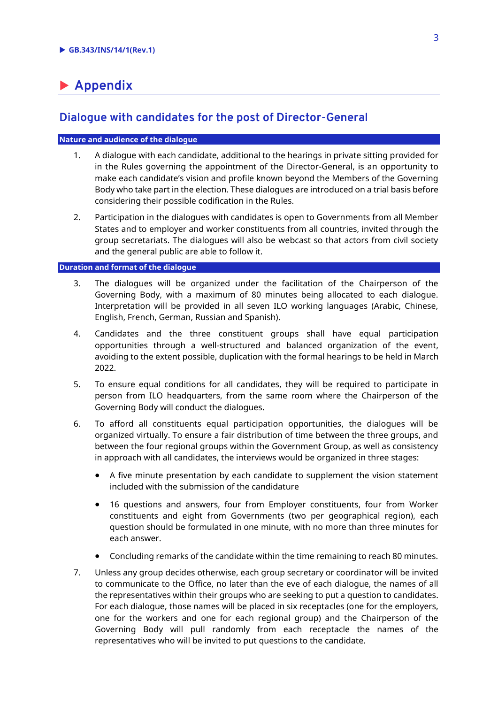# **Appendix**

### **Dialogue with candidates for the post of Director-General**

#### **Nature and audience of the dialogue**

- 1. A dialogue with each candidate, additional to the hearings in private sitting provided for in the Rules governing the appointment of the Director-General, is an opportunity to make each candidate's vision and profile known beyond the Members of the Governing Body who take part in the election. These dialogues are introduced on a trial basis before considering their possible codification in the Rules.
- 2. Participation in the dialogues with candidates is open to Governments from all Member States and to employer and worker constituents from all countries, invited through the group secretariats. The dialogues will also be webcast so that actors from civil society and the general public are able to follow it.

#### **Duration and format of the dialogue**

- 3. The dialogues will be organized under the facilitation of the Chairperson of the Governing Body, with a maximum of 80 minutes being allocated to each dialogue. Interpretation will be provided in all seven ILO working languages (Arabic, Chinese, English, French, German, Russian and Spanish).
- 4. Candidates and the three constituent groups shall have equal participation opportunities through a well-structured and balanced organization of the event, avoiding to the extent possible, duplication with the formal hearings to be held in March 2022.
- 5. To ensure equal conditions for all candidates, they will be required to participate in person from ILO headquarters, from the same room where the Chairperson of the Governing Body will conduct the dialogues.
- 6. To afford all constituents equal participation opportunities, the dialogues will be organized virtually. To ensure a fair distribution of time between the three groups, and between the four regional groups within the Government Group, as well as consistency in approach with all candidates, the interviews would be organized in three stages:
	- A five minute presentation by each candidate to supplement the vision statement included with the submission of the candidature
	- 16 questions and answers, four from Employer constituents, four from Worker constituents and eight from Governments (two per geographical region), each question should be formulated in one minute, with no more than three minutes for each answer.
	- Concluding remarks of the candidate within the time remaining to reach 80 minutes.
- 7. Unless any group decides otherwise, each group secretary or coordinator will be invited to communicate to the Office, no later than the eve of each dialogue, the names of all the representatives within their groups who are seeking to put a question to candidates. For each dialogue, those names will be placed in six receptacles (one for the employers, one for the workers and one for each regional group) and the Chairperson of the Governing Body will pull randomly from each receptacle the names of the representatives who will be invited to put questions to the candidate.